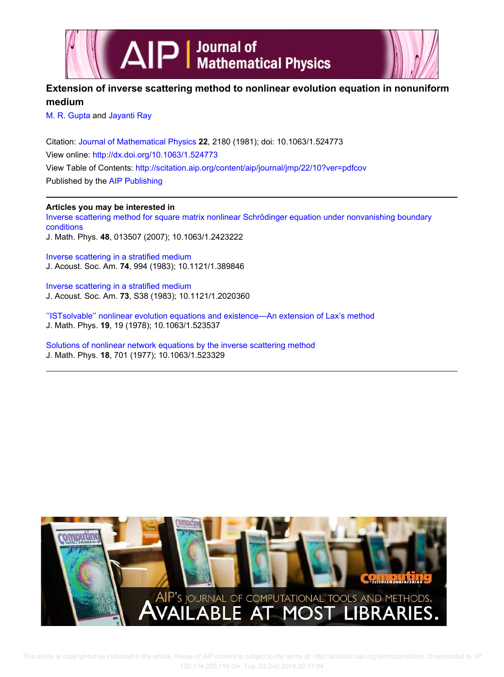



# **Extension of inverse scattering method to nonlinear evolution equation in nonuniform medium**

M. R. Gupta and Jayanti Ray

Citation: Journal of Mathematical Physics **22**, 2180 (1981); doi: 10.1063/1.524773 View online: http://dx.doi.org/10.1063/1.524773 View Table of Contents: http://scitation.aip.org/content/aip/journal/jmp/22/10?ver=pdfcov Published by the AIP Publishing

## **Articles you may be interested in**

Inverse scattering method for square matrix nonlinear Schrödinger equation under nonvanishing boundary conditions J. Math. Phys. **48**, 013507 (2007); 10.1063/1.2423222

Inverse scattering in a stratified medium J. Acoust. Soc. Am. **74**, 994 (1983); 10.1121/1.389846

Inverse scattering in a stratified medium J. Acoust. Soc. Am. **73**, S38 (1983); 10.1121/1.2020360

''ISTsolvable'' nonlinear evolution equations and existence—An extension of Lax's method J. Math. Phys. **19**, 19 (1978); 10.1063/1.523537

Solutions of nonlinear network equations by the inverse scattering method J. Math. Phys. **18**, 701 (1977); 10.1063/1.523329

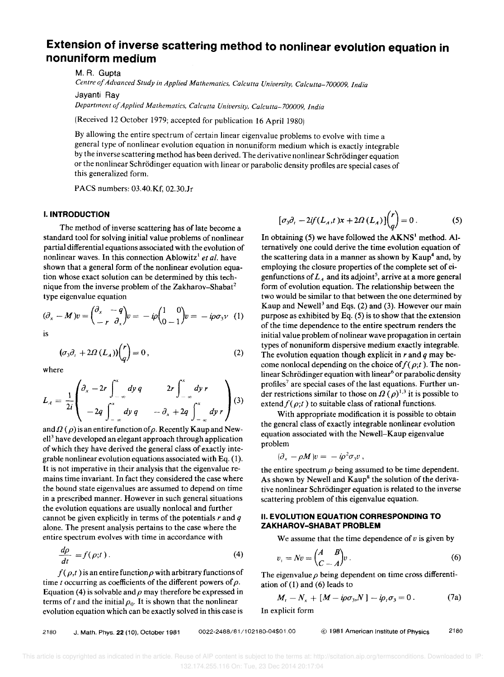# **Extension of inverse scattering method to nonlinear evolution equation in nonuniform medium**

M. R. Gupta

*Centre of Advanced Study in Applied Mathematics. Calcutta University, Calcutta-700009, India* 

Jayanti Ray

*Department of Applied Mathematics, Calcutta University, Calcutta-700009, India* 

(Received 12 October 1979; accepted for publication 16 April 1980)

By allowing the entire spectrum of certain linear eigenvalue problems to evolve with time a general type of nonlinear evolution equation in nonuniform medium which is exactly integrable by the inverse scattering method has been derived. The derivative nonlinear Schrödinger equation or the nonlinear Schrödinger equation with linear or parabolic density profiles are special cases of this generalized form.

PACS numbers: 03.40.Kf, 02.30.1r

#### **I. INTRODUCTION**

The method of inverse scattering has of late become a standard tool for solving initial value problems of nonlinear partial differential equations associated with the evolution of nonlinear waves. In this connection Ablowitz<sup>1</sup> et al. have shown that a general form of the nonlinear evolution equation whose exact solution can be determined by this technique from the inverse problem of the Zakharov-Shabat<sup>2</sup> type eigenvalue equation

$$
(\partial_x - M)v = \begin{pmatrix} \partial_x & -q \\ -r & \partial_x \end{pmatrix} v = -i\rho \begin{pmatrix} 1 & 0 \\ 0 & -1 \end{pmatrix} v = -i\rho \sigma_3 v \quad (1)
$$

is

$$
(\sigma_3 \partial_t + 2\Omega \,(L_A)) \binom{r}{q} = 0 \,, \tag{2}
$$

where

where  

$$
L_A = \frac{1}{2i} \begin{pmatrix} \frac{\partial}{\partial x} - 2r \int_{-\infty}^{x} dy q & 2r \int_{-\infty}^{x} dy r \\ -2q \int_{-\infty}^{x} dy q & -\frac{\partial}{\partial x} + 2q \int_{-\infty}^{x} dy r \end{pmatrix} (3)
$$

and  $\Omega(\rho)$  is an entire function of  $\rho$ . Recently Kaup and New $ell<sup>3</sup>$  have developed an elegant approach through application of which they have derived the general class of exactly integrable nonlinear evolution equations associated with Eq. (I). It is not imperative in their analysis that the eigenvalue remains time invariant. In fact they considered the case where the bound state eigenvalues are assumed to depend on time in a prescribed manner. However in such general situations the evolution equations are usually nonlocal and further cannot be given explicitly in terms of the potentials rand *q*  alone. The present analysis pertains to the case where the entire spectrum evolves with time in accordance with

$$
\frac{d\rho}{dt} = f(\rho;t) \,. \tag{4}
$$

 $f(\rho,t)$  is an entire function  $\rho$  with arbitrary functions of time t occurring as coefficients of the different powers of  $\rho$ . Equation (4) is solvable and  $\rho$  may therefore be expressed in terms of *t* and the initial  $\rho_0$ . It is shown that the nonlinear evolution equation which can be exactly solved in this case is

$$
[\sigma_3 \partial_t - 2if(L_A, t)x + 2\Omega(L_A)]\binom{r}{q} = 0.
$$
 (5)

In obtaining  $(5)$  we have followed the AKNS<sup>1</sup> method. Alternatively one could derive the time evolution equation of the scattering data in a manner as shown by  $Kaup<sup>4</sup>$  and, by employing the closure properties of the complete set of eigenfunctions of  $L<sub>A</sub>$  and its adjoint<sup>5</sup>, arrive at a more general form of evolution equation. The relationship between the two would be similar to that between the one determined by Kaup and Newell<sup>3</sup> and Eqs. (2) and (3). However our main purpose as exhibited by Eq. (5) is to show that the extension of the time dependence to the entire spectrum renders the initial value problem of nolinear wave propagation in certain types of nonuniform dispersive medium exactly integrable. The evolution equation though explicit in rand *q* may become nonlocal depending on the choice of  $f(\rho;t)$ . The nonlinear Schrödinger equation with linear<sup>6</sup> or parabolic density profiles<sup>7</sup> are special cases of the last equations. Further under restrictions similar to those on  $\Omega$  ( $\rho$ )<sup>1,3</sup> it is possible to extend  $f(\rho;t)$  to suitable class of rational functions.

With appropriate modification it is possible to obtain the general class of exactly integrable nonlinear evolution equation associated with the Newell-Kaup eigenvalue problem

$$
(\partial_x - \rho M)v = -i\rho^2 \sigma_3 v,
$$

the entire spectrum  $\rho$  being assumed to be time dependent. As shown by Newell and  $Kaup<sup>8</sup>$  the solution of the derivative nonlinear Schrödinger equation is related to the inverse scattering problem of this eigenvalue equation.

#### **II. EVOLUTION EQUATION CORRESPONDING TO ZAKHAROV-SHABATPROBLEM**

We assume that the time dependence of *v* is given by

$$
v_t = Nv = \begin{pmatrix} A & B \\ C & -A \end{pmatrix} v \,.
$$
 (6)

The eigenvalue  $\rho$  being dependent on time cross differentiation of (1) and (6) leads to

$$
M_t - N_x + [M - i\rho\sigma_3, N] - i\rho_t\sigma_3 = 0.
$$
 (7a)

In explicit form

2180 J. Math. Phys. 22 (10), October 1981 0022-2488/81/102180-04\$01.00 © 1981 American Institute of Physics 2180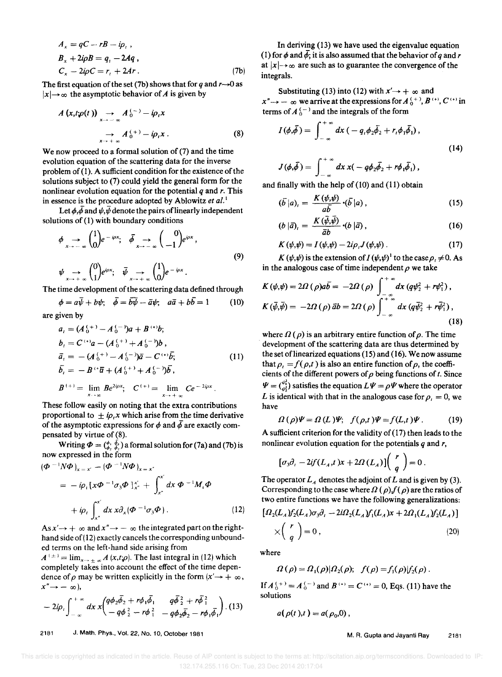$$
A_x = qC - rB - i\rho_t,
$$
  
\n
$$
B_x + 2i\rho B = q_t - 2Aq,
$$
  
\n
$$
C_x - 2i\rho C = r_t + 2Ar.
$$
 (7b)

The first equation of the set (7b) shows that for *q* and  $r\rightarrow 0$  as  $|x| \rightarrow \infty$  the asymptotic behavior of *A* is given by

$$
A(x,t;\varphi(t)) \longrightarrow A_0^{(-)} - i\rho_t x
$$
  
\n
$$
\longrightarrow A_0^{(+)} - i\rho_t x .
$$
\n(8)

We now proceed to a formal solution of (7) and the time evolution equation of the scattering data for the inverse problem of (1). A sufficient condition for the existence of the solutions subject to (7) could yield the general form for the nonlinear evolution equation for the potential *q* and r. This in essence is the procedure adopted by Ablowitz *et al.* <sup>I</sup>

Let  $\phi$ ,  $\overline{\phi}$  and  $\psi$ ,  $\overline{\psi}$  denote the pairs of linearly independent solutions of (1) with boundary conditions

$$
\phi \longrightarrow \begin{pmatrix} 1 \\ 0 \end{pmatrix} e^{-i\rho x}; \quad \bar{\phi} \longrightarrow \begin{pmatrix} 0 \\ -1 \end{pmatrix} e^{i\rho x},
$$
\n
$$
\psi \longrightarrow \begin{pmatrix} 0 \\ 1 \end{pmatrix} e^{i\rho x}; \quad \bar{\psi} \longrightarrow \begin{pmatrix} 1 \\ 0 \end{pmatrix} e^{-i\rho x}.
$$
\n(9)

The time development of the scattering data defined through

$$
\phi = a\overline{\psi} + b\psi; \quad \overline{\phi} = b\overline{\psi} - \overline{a}\psi; \quad a\overline{a} + b\overline{b} = 1 \tag{10}
$$

are given by

$$
a_{t} = (A_{0}^{(+)} - A_{0}^{(-)})a + B^{(*)}b;
$$
  
\n
$$
b_{t} = C^{(*)}a - (A_{0}^{(+)} + A_{0}^{(-)})b,
$$
  
\n
$$
\bar{a}_{t} = -(A_{0}^{(+)} - A_{0}^{(-)})\bar{a} - C^{(*)}\bar{b};
$$
  
\n
$$
\bar{b}_{t} = -B^{(*)}\bar{a} + (A_{0}^{(+)} + A_{0}^{(-)})\bar{b},
$$
  
\n
$$
B^{(+)} = \lim_{x \to \infty} Be^{2i\varphi x}; \quad C^{(+)} = \lim_{x \to \infty} Ce^{-2i\varphi x}.
$$
\n(11)

These follow easily on noting that the extra contributions proportional to  $\pm i\rho$ , *x* which arise from the time derivative of the asymptotic expressions for  $\phi$  and  $\bar{\phi}$  are exactly compensated by virtue of (8).

Writing  $\Phi = (\frac{\phi_1}{\phi_2}, \frac{\phi_1}{\phi_2})$  a formal solution for (7a) and (7b) is now expressed in the form

$$
\begin{split} (\boldsymbol{\Phi}^{-1}N\boldsymbol{\Phi})_{x=x} &- (\boldsymbol{\Phi}^{-1}N\boldsymbol{\Phi})_{x=x'} \\ &= -i\rho_i \left[ x\boldsymbol{\Phi}^{-1}\sigma_3\boldsymbol{\Phi} \right]_{x'}^{x'} + \int_{x'}^{x'} dx \, \boldsymbol{\Phi}^{-1}M_i \boldsymbol{\Phi} \\ &+ i\rho_i \int_{x'}^{x'} dx \, x\partial_x (\boldsymbol{\Phi}^{-1}\sigma_3\boldsymbol{\Phi}) \,. \end{split} \tag{12}
$$

 $As x' \rightarrow +\infty$  and  $x'' \rightarrow -\infty$  the integrated part on the righthand side of  $(12)$  exactly cancels the corresponding unbounded terms on the left-hand side arising from

 $A^{(\pm)} = \lim_{x \to \pm \infty} A(x,t;\rho)$ . The last integral in (12) which completely takes into account the effect of the time dependence of  $\rho$  may be written explicitly in the form  $(x' \rightarrow +\infty)$ ,  $x'' \rightarrow -\infty$ ),

$$
-2i\rho_i \int_{-\infty}^{+\infty} dx \, x \left( \frac{q\phi_2\bar{\phi}_2 + r\phi_1\bar{\phi}_1}{-q\phi_2^2 - r\phi_1^2} - \frac{q\bar{\phi}_2^2 + r\bar{\phi}_1^2}{-q\phi_2\bar{\phi}_2 - r\phi_1\bar{\phi}_1} \right). \tag{13}
$$

2181 J. Math. Phys., Vol. 22, No.1 0, October 1981

In deriving (13) we have used the eigenvalue equation (1) for  $\phi$  and  $\bar{\phi}$ ; it is also assumed that the behavior of *q* and *r* at  $|x| \rightarrow \infty$  are such as to guarantee the convergence of the integrals.

Substituting (13) into (12) with  $x' \rightarrow +\infty$  and  $x'' \rightarrow -\infty$  we arrive at the expressions for  $A_0^{(+)}$ ,  $B^{(+)}$ ,  $C^{(+)}$  in terms of  $A_0^{(-)}$  and the integrals of the form

$$
I(\phi, \bar{\phi}) = \int_{-\infty}^{+\infty} dx \left( -q_1 \phi_2 \bar{\phi}_2 + r_1 \phi_1 \bar{\phi}_1 \right),
$$
  
(14)  

$$
J(\phi, \bar{\phi}) = \int_{-\infty}^{+\infty} dx \, x \left( -q \phi_2 \bar{\phi}_2 + r \phi_1 \bar{\phi}_1 \right),
$$

and finally with the help of (10) and (11) obtain

$$
(\bar{b}\,|a)_i = \frac{K(\psi,\psi)}{a\bar{b}} \cdot (\bar{b}\,|a) \,, \tag{15}
$$

$$
(b|\bar{a})_i = \frac{K(\bar{\psi},\bar{\psi})}{\bar{a}b} \cdot (b|\bar{a}), \qquad (16)
$$

$$
K(\psi,\psi) = I(\psi,\psi) - 2i\rho_i J(\psi,\psi) \,. \tag{17}
$$

 $K(\psi,\psi)$  is the extension of  $I(\psi,\psi)$ <sup>1</sup> to the case  $\rho_t \neq 0$ . As in the analogous case of time independent  $\rho$  we take

$$
K(\psi,\psi) = 2\Omega(\rho)a\overline{b} = -2\Omega(\rho)\int_{-\infty}^{+\infty} dx (q\psi_2^2 + r\psi_1^2),
$$
  

$$
K(\overline{\psi},\overline{\psi}) = -2\Omega(\rho)\overline{a}b = 2\Omega(\rho)\int_{-\infty}^{+\infty} dx (q\overline{\psi}_2^2 + r\overline{\psi}_1^2),
$$
 (18)

where  $\Omega(\rho)$  is an arbitrary entire function of  $\rho$ . The time development of the scattering data are thus determined by the set of linearized equations  $(15)$  and  $(16)$ . We now assume that  $\rho_t = f(\rho, t)$  is also an entire function of  $\rho$ , the coefficients of the different powers of  $\rho$  being functions of  $t$ . Since  $\Psi = \begin{pmatrix} \psi_1^2 \\ \psi_2^2 \end{pmatrix}$  satisfies the equation  $L\Psi = \rho \Psi$  where the operator *L* is identical with that in the analogous case for  $\rho_t = 0$ , we have

$$
\Omega(\rho)\Psi = \Omega(L)\Psi; \quad f(\rho,t)\Psi = f(L,t)\Psi. \tag{19}
$$

A sufficient criterion for the validity of (17) then leads to the nonlinear evolution equation for the potentials *q* and *r.* 

$$
[\sigma_3 \partial_t - 2if(L_A, t)x + 2\Omega(L_A)]\binom{r}{q} = 0.
$$

The operator  $L<sub>A</sub>$  denotes the adjoint of L and is given by (3). Corresponding to the case where  $\Omega(\rho) f(\rho)$  are the ratios of two entire functions we have the following generalizations:

$$
\left[\Omega_2(L_A)f_2(L_A)\sigma_3\partial_t - 2i\Omega_2(L_A)f_1(L_A)x + 2\Omega_1(L_A)f_2(L_A)\right]
$$
  
 
$$
\times \left(\begin{array}{c} r \\ q \end{array}\right) = 0 , \qquad (20)
$$

where

$$
\Omega(\rho) = \Omega_1(\rho) | \Omega_2(\rho); \quad f(\rho) = f_1(\rho) | f_2(\rho) .
$$

If  $A_0^{(+)} = A_0^{(-)}$  and  $B^{(+)} = C^{(+)} = 0$ , Eqs. (11) have the solutions

$$
a(\rho(t),t)=a(\rho_0,0),
$$

M. R. Gupta and Jayanti Ray 2181

 This article is copyrighted as indicated in the article. Reuse of AIP content is subject to the terms at: http://scitation.aip.org/termsconditions. Downloaded to IP: 132.174.255.116 On: Tue, 23 Dec 2014 20:17:04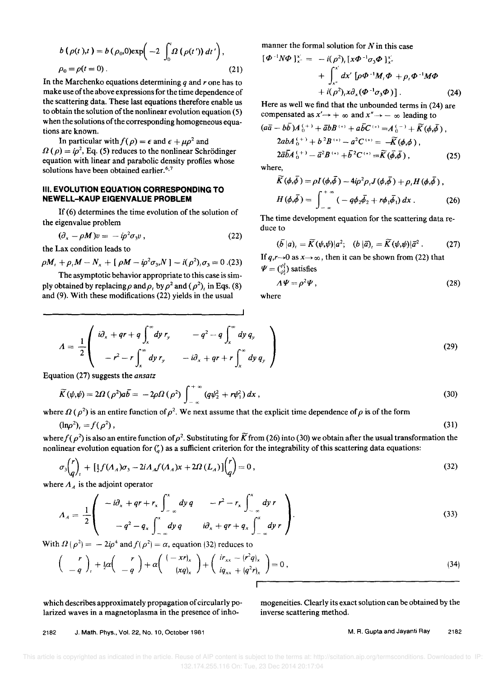$$
b(\rho(t),t) = b(\rho_0,0) \exp\left(-2 \int_0^t \Omega(\rho(t')) dt'\right),
$$
  
\n
$$
\rho_0 = \rho(t = 0).
$$
\n(21)

In the Marchenko equations determining *q* and *r* one has to make use of the above expressions for the time dependence of the scattering data. These last equations therefore enable us to obtain the solution of the nonlinear evolution equation (5) when the solutions of the corresponding homogeneous equations are known.

In particular with  $f(\rho) = \epsilon$  and  $\epsilon + \mu \rho^2$  and  $\Omega(\rho) = i\rho^2$ , Eq. (5) reduces to the nonlinear Schrödinger equation with linear and parabolic density profiles whose solutions have been obtained earlier.<sup>6,7</sup>

#### III. **EVOLUTION EQUATION CORRESPONDING TO NEWELL-KAUP EIGENVALUE PROBLEM**

If (6) determines the time evolution of the solution of the eigenvalue problem

$$
(\partial_x - \rho M)v = -i\rho^2 \sigma_3 v \,, \tag{22}
$$

the Lax condition leads to

 $\rho M_t + \rho_t M - N_x + [\rho M - i \rho^2 \sigma_3 N] - i(\rho^2) \sigma_3 = 0$ .(23)

The asymptotic behavior appropriate to this case is simply obtained by replacing  $\rho$  and  $\rho$ , by  $\rho^2$  and ( $\rho^2$ ), in Eqs. (8) and (9). With these modifications (22) yields in the usual

manner the formal solution for  $N$  in this case

$$
\begin{aligned} \left[\boldsymbol{\Phi}^{-1} N \boldsymbol{\Phi}\right]_{x}^{x'} &= \ -\ i(\rho^2)_i \left[x \boldsymbol{\Phi}^{-1} \sigma_3 \boldsymbol{\Phi}\right]_{x'}^{x'} \\ &+ \int_{x'}^{x'} dx' \left[\rho \boldsymbol{\Phi}^{-1} M_i \boldsymbol{\Phi} + \rho_i \boldsymbol{\Phi}^{-1} M \boldsymbol{\Phi} \\ &+ i(\rho^2)_i x \partial_x (\boldsymbol{\Phi}^{-1} \sigma_3 \boldsymbol{\Phi})\right]. \end{aligned} \tag{24}
$$

Here as well we find that the unbounded terms in (24) are compensated as  $x' \rightarrow +\infty$  and  $x'' \rightarrow -\infty$  leading to

$$
(a\overline{a} - b\overline{b})A_0^{(+)} + \overline{a}bB^{(+)} + a\overline{b}C^{(+)} = A_0^{(-)} + \widetilde{K}(\phi,\overline{\phi}),
$$
  
\n
$$
2abA_0^{(+)} + b^2B^{(+)} - a^2C^{(+)} = -\widetilde{K}(\phi,\phi),
$$
  
\n
$$
2\overline{a}\overline{b}A_0^{(+)} - \overline{a}^2B^{(+)} + \overline{b}^2C^{(+)} = \widetilde{K}(\overline{\phi},\overline{\phi}),
$$
\n(25)

where,

$$
\widetilde{K}(\phi,\overline{\phi}) = \rho I(\phi,\overline{\phi}) - 4i\rho^2 \rho_1 J(\phi,\overline{\phi}) + \rho_1 H(\phi,\overline{\phi}),
$$
  
\n
$$
H(\phi,\overline{\phi}) = \int_{-\infty}^{+\infty} (-q\phi_2 \overline{\phi}_2 + r\phi_1 \overline{\phi}_1) dx.
$$
 (26)

The time development equation for the scattering data reduce to

$$
(\overline{b}\,|a)_i = \widetilde{K}(\psi,\psi)|a^2; \quad (b\,|\overline{a})_i = \widetilde{K}(\psi,\psi)|\overline{a}^2. \tag{27}
$$

If  $q,r\rightarrow 0$  as  $x\rightarrow \infty$ , then it can be shown from (22) that  $\Psi = \binom{\psi_1^2}{\psi_2^2}$  satisfies

$$
\Lambda \Psi = \rho^2 \Psi \,, \tag{28}
$$

where

$$
A = \frac{1}{2} \begin{pmatrix} i\partial_x + qr + q \int_x^\infty dy \, r_y & -q^2 - q \int_x^\infty dy \, q_y \\ -r^2 - r \int_x^\infty dy \, r_y & -i\partial_x + qr + r \int_x^\infty dy \, q_y \end{pmatrix}
$$
 (29)

Equation (27) suggests the ansatz

$$
\widetilde{K}(\psi,\psi)=2\Omega\left(\rho^{2}\right)a\overline{b}=-2\rho\Omega\left(\rho^{2}\right)\int_{-\infty}^{+\infty}\left(q\psi_{2}^{2}+r\psi_{1}^{2}\right)dx\,,\tag{30}
$$

where  $\Omega(\rho^2)$  is an entire function of  $\rho^2$ . We next assume that the explicit time dependence of  $\rho$  is of the form

$$
(\ln \rho^2)_t = f(\rho^2) \,, \tag{31}
$$

where  $f(p^2)$  is also an entire function of  $p^2$ . Substituting for K from (26) into (30) we obtain after the usual transformation the nonlinear evolution equation for  $\binom{r}{q}$  as a sufficient criterion for the integrability of this scattering data equations:

$$
\sigma_3 \binom{r}{q}_t + \left[ \frac{1}{2} f(A_A) \sigma_3 - 2i A_A f(A_A) x + 2 \Omega(L_A) \right] \binom{r}{q} = 0 \,, \tag{32}
$$

where  $A_A$  is the adjoint operator

$$
A_A = \frac{1}{2} \left( \begin{array}{ccc} -i\partial_x + qr + r_x \int_{-\infty}^x dy q & -r^2 - r_x \int_{-\infty}^x dy r \\ -q^2 - q_x \int_{-\infty}^x dy q & i\partial_x + qr + q_x \int_{-\infty}^x dy r \end{array} \right).
$$
 (33)

With  $\Omega(\rho^2) = -2i\rho^4$  and  $f(\rho^2) = \alpha$ , equation (32) reduces to

$$
\begin{pmatrix} r \ -q \end{pmatrix}_{t} + \frac{1}{2}\alpha \begin{pmatrix} r \ -q \end{pmatrix} + \alpha \begin{pmatrix} (-xr)_x \ (xq)_x \end{pmatrix} + \begin{pmatrix} ir_{xx} - (r^2q)_x \ iq_{xx} + (q^2r)_x \end{pmatrix} = 0,
$$
\n(34)

which describes approximately propagation of circularly polarized waves in a magnetoplasma in the presence of inhomogeneities. Clearly its exact solution can be obtained by the inverse scattering method.

2182 J. Math. Phys., Vol. 22, No. 10, October 1981